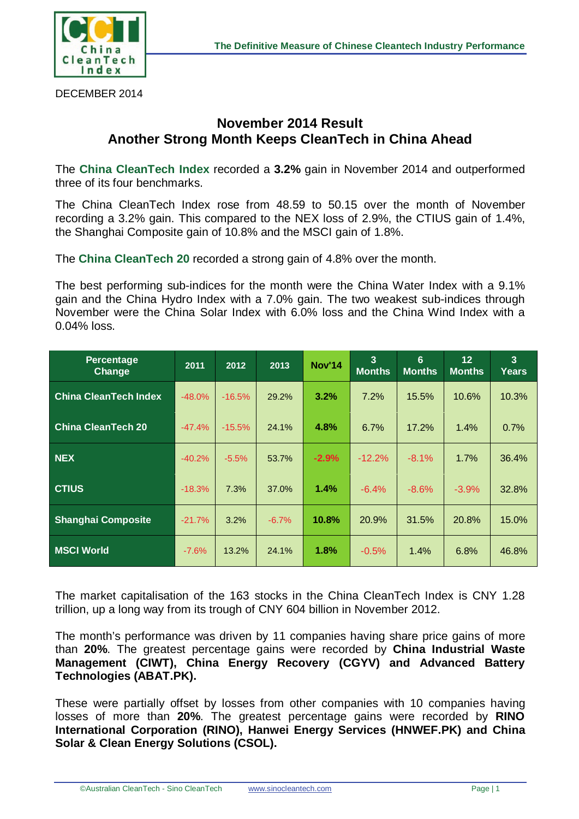

DECEMBER 2014

## **November 2014 Result Another Strong Month Keeps CleanTech in China Ahead**

The **China CleanTech Index** recorded a **3.2%** gain in November 2014 and outperformed three of its four benchmarks.

The China CleanTech Index rose from 48.59 to 50.15 over the month of November recording a 3.2% gain. This compared to the NEX loss of 2.9%, the CTIUS gain of 1.4%, the Shanghai Composite gain of 10.8% and the MSCI gain of 1.8%.

The **China CleanTech 20** recorded a strong gain of 4.8% over the month.

The best performing sub-indices for the month were the China Water Index with a 9.1% gain and the China Hydro Index with a 7.0% gain. The two weakest sub-indices through November were the China Solar Index with 6.0% loss and the China Wind Index with a 0.04% loss.

| <b>Percentage</b><br><b>Change</b> | 2011     | 2012     | 2013    | <b>Nov'14</b> | 3<br><b>Months</b> | $6\phantom{1}6$<br><b>Months</b> | 12 <sub>2</sub><br><b>Months</b> | $\overline{3}$<br>Years |
|------------------------------------|----------|----------|---------|---------------|--------------------|----------------------------------|----------------------------------|-------------------------|
| <b>China CleanTech Index</b>       | $-48.0%$ | $-16.5%$ | 29.2%   | 3.2%          | 7.2%               | 15.5%                            | 10.6%                            | 10.3%                   |
| <b>China CleanTech 20</b>          | $-47.4%$ | $-15.5%$ | 24.1%   | 4.8%          | 6.7%               | 17.2%                            | 1.4%                             | 0.7%                    |
| <b>NEX</b>                         | $-40.2%$ | $-5.5%$  | 53.7%   | $-2.9%$       | $-12.2%$           | $-8.1%$                          | 1.7%                             | 36.4%                   |
| <b>CTIUS</b>                       | $-18.3%$ | 7.3%     | 37.0%   | 1.4%          | $-6.4%$            | $-8.6%$                          | $-3.9%$                          | 32.8%                   |
| <b>Shanghai Composite</b>          | $-21.7%$ | 3.2%     | $-6.7%$ | 10.8%         | 20.9%              | 31.5%                            | 20.8%                            | 15.0%                   |
| <b>MSCI World</b>                  | $-7.6%$  | 13.2%    | 24.1%   | 1.8%          | $-0.5%$            | 1.4%                             | 6.8%                             | 46.8%                   |

The market capitalisation of the 163 stocks in the China CleanTech Index is CNY 1.28 trillion, up a long way from its trough of CNY 604 billion in November 2012.

The month's performance was driven by 11 companies having share price gains of more than **20%**. The greatest percentage gains were recorded by **China Industrial Waste Management (CIWT), China Energy Recovery (CGYV) and Advanced Battery Technologies (ABAT.PK).**

These were partially offset by losses from other companies with 10 companies having losses of more than **20%**. The greatest percentage gains were recorded by **RINO International Corporation (RINO), Hanwei Energy Services (HNWEF.PK) and China Solar & Clean Energy Solutions (CSOL).**